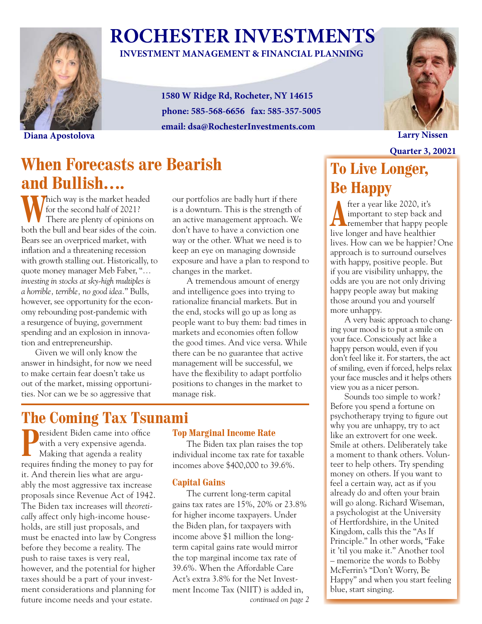

# **ROCHESTER INVESTMENTS**

### **INVESTMENT MANAGEMENT & FINANCIAL PLANNING**

**1580 W Ridge Rd, Rocheter, NY 14615 phone: 585-568-6656 fax: 585-357-5005 email: dsa@RochesterInvestments.com**



**Quarter 3, 20021**

**Diana Apostolova Larry Nissen**

### **When Forecasts are Bearish and Bullish….**

Which way is the market headed<br>
There are plenty of opinions on for the second half of 2021? both the bull and bear sides of the coin. Bears see an overpriced market, with inflation and a threatening recession with growth stalling out. Historically, to quote money manager Meb Faber, "*… investing in stocks at sky-high multiples is a horrible, terrible, no good idea.*" Bulls, however, see opportunity for the economy rebounding post-pandemic with a resurgence of buying, government spending and an explosion in innovation and entrepreneurship.

Given we will only know the answer in hindsight, for now we need to make certain fear doesn't take us out of the market, missing opportunities. Nor can we be so aggressive that

our portfolios are badly hurt if there is a downturn. This is the strength of an active management approach. We don't have to have a conviction one way or the other. What we need is to keep an eye on managing downside exposure and have a plan to respond to changes in the market.

A tremendous amount of energy and intelligence goes into trying to rationalize financial markets. But in the end, stocks will go up as long as people want to buy them: bad times in markets and economies often follow the good times. And vice versa. While there can be no guarantee that active management will be successful, we have the flexibility to adapt portfolio positions to changes in the market to manage risk.

### **The Coming Tax Tsunami**

**P**resident Biden came into office with a very expensive agenda. Making that agenda a reality requires finding the money to pay for it. And therein lies what are arguably the most aggressive tax increase proposals since Revenue Act of 1942. The Biden tax increases will *theoretically* affect only high-income households, are still just proposals, and must be enacted into law by Congress before they become a reality. The push to raise taxes is very real, however, and the potential for higher taxes should be a part of your investment considerations and planning for future income needs and your estate.

#### **Top Marginal Income Rate**

The Biden tax plan raises the top individual income tax rate for taxable incomes above \$400,000 to 39.6%.

#### **Capital Gains**

The current long-term capital gains tax rates are 15%, 20% or 23.8% for higher income taxpayers. Under the Biden plan, for taxpayers with income above \$1 million the longterm capital gains rate would mirror the top marginal income tax rate of 39.6%. When the Affordable Care Act's extra 3.8% for the Net Investment Income Tax (NIIT) is added in, *continued on page 2*

### **To Live Longer, Be Happy**

**A** fter a year like 2020, it's<br>
remember that happy people important to step back and live longer and have healthier lives. How can we be happier? One approach is to surround ourselves with happy, positive people. But if you are visibility unhappy, the odds are you are not only driving happy people away but making those around you and yourself more unhappy.

A very basic approach to changing your mood is to put a smile on your face. Consciously act like a happy person would, even if you don't feel like it. For starters, the act of smiling, even if forced, helps relax your face muscles and it helps others view you as a nicer person.

Sounds too simple to work? Before you spend a fortune on psychotherapy trying to figure out why you are unhappy, try to act like an extrovert for one week. Smile at others. Deliberately take a moment to thank others. Volunteer to help others. Try spending money on others. If you want to feel a certain way, act as if you already do and often your brain will go along. Richard Wiseman, a psychologist at the University of Hertfordshire, in the United Kingdom, calls this the "As If Principle." In other words, "Fake it 'til you make it." Another tool – memorize the words to Bobby McFerrin's "Don't Worry, Be Happy" and when you start feeling blue, start singing.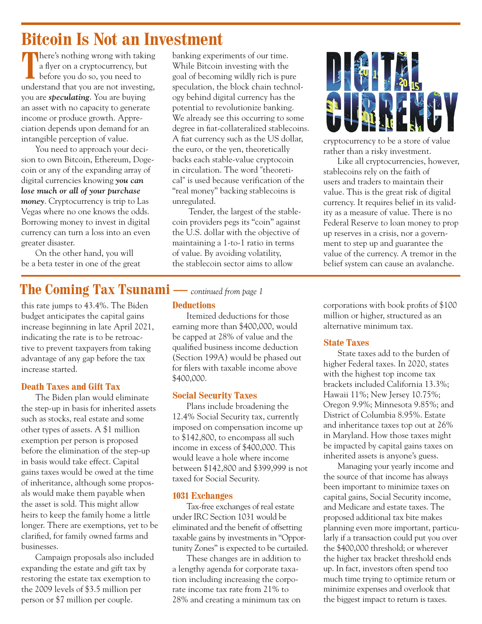### **Bitcoin Is Not an Investment**

**T** here's nothing wrong with taking a flyer on a cryptocurrency, but before you do so, you need to understand that you are not investing, you are *speculating*. You are buying an asset with no capacity to generate income or produce growth. Appreciation depends upon demand for an intangible perception of value.

You need to approach your decision to own Bitcoin, Ethereum, Dogecoin or any of the expanding array of digital currencies knowing *you can lose much or all of your purchase money*. Cryptocurrency is trip to Las Vegas where no one knows the odds. Borrowing money to invest in digital currency can turn a loss into an even greater disaster.

On the other hand, you will be a beta tester in one of the great banking experiments of our time. While Bitcoin investing with the goal of becoming wildly rich is pure speculation, the block chain technology behind digital currency has the potential to revolutionize banking. We already see this occurring to some degree in fiat-collateralized stablecoins. A fiat currency such as the US dollar, the euro, or the yen, theoretically backs each stable-value cryptocoin in circulation. The word "theoretical" is used because verification of the "real money" backing stablecoins is unregulated.

 Tender, the largest of the stablecoin providers pegs its "coin" against the U.S. dollar with the objective of maintaining a 1-to-1 ratio in terms of value. By avoiding volatility, the stablecoin sector aims to allow

### **The Coming Tax Tsunami —** *continued from page 1*

this rate jumps to 43.4%. The Biden budget anticipates the capital gains increase beginning in late April 2021, indicating the rate is to be retroactive to prevent taxpayers from taking advantage of any gap before the tax increase started.

#### **Death Taxes and Gift Tax**

The Biden plan would eliminate the step-up in basis for inherited assets such as stocks, real estate and some other types of assets. A \$1 million exemption per person is proposed before the elimination of the step-up in basis would take effect. Capital gains taxes would be owed at the time of inheritance, although some proposals would make them payable when the asset is sold. This might allow heirs to keep the family home a little longer. There are exemptions, yet to be clarified, for family owned farms and businesses.

Campaign proposals also included expanding the estate and gift tax by restoring the estate tax exemption to the 2009 levels of \$3.5 million per person or \$7 million per couple.

#### **Deductions**

Itemized deductions for those earning more than \$400,000, would be capped at 28% of value and the qualified business income deduction (Section 199A) would be phased out for filers with taxable income above \$400,000.

#### **Social Security Taxes**

Plans include broadening the 12.4% Social Security tax, currently imposed on compensation income up to \$142,800, to encompass all such income in excess of \$400,000. This would leave a hole where income between \$142,800 and \$399,999 is not taxed for Social Security.

#### **1031 Exchanges**

Tax-free exchanges of real estate under IRC Section 1031 would be eliminated and the benefit of offsetting taxable gains by investments in "Opportunity Zones" is expected to be curtailed.

These changes are in addition to a lengthy agenda for corporate taxation including increasing the corporate income tax rate from 21% to 28% and creating a minimum tax on



cryptocurrency to be a store of value rather than a risky investment.

Like all cryptocurrencies, however, stablecoins rely on the faith of users and traders to maintain their value. This is the great risk of digital currency. It requires belief in its validity as a measure of value. There is no Federal Reserve to loan money to prop up reserves in a crisis, nor a government to step up and guarantee the value of the currency. A tremor in the belief system can cause an avalanche.

corporations with book profits of \$100 million or higher, structured as an alternative minimum tax.

#### **State Taxes**

State taxes add to the burden of higher Federal taxes. In 2020, states with the highest top income tax brackets included California 13.3%; Hawaii 11%; New Jersey 10.75%; Oregon 9.9%; Minnesota 9.85%; and District of Columbia 8.95%. Estate and inheritance taxes top out at 26% in Maryland. How those taxes might be impacted by capital gains taxes on inherited assets is anyone's guess.

Managing your yearly income and the source of that income has always been important to minimize taxes on capital gains, Social Security income, and Medicare and estate taxes. The proposed additional tax bite makes planning even more important, particularly if a transaction could put you over the \$400,000 threshold; or wherever the higher tax bracket threshold ends up. In fact, investors often spend too much time trying to optimize return or minimize expenses and overlook that the biggest impact to return is taxes.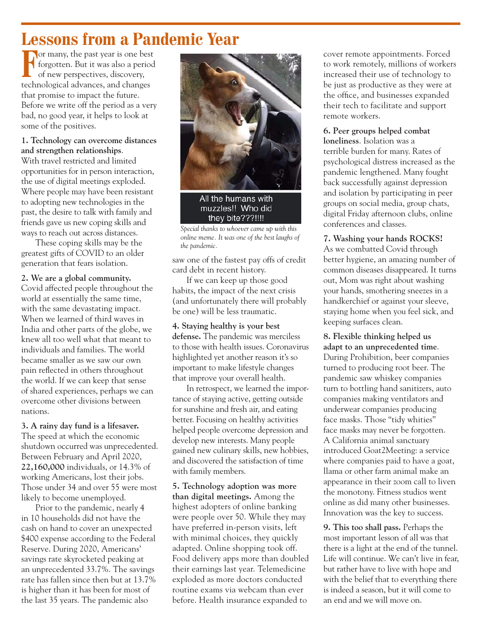## **Lessons from a Pandemic Year**

**For many, the past year is one best** forgotten. But it was also a period  $\Box$  of new perspectives, discovery, technological advances, and changes that promise to impact the future. Before we write off the period as a very bad, no good year, it helps to look at some of the positives.

#### **1. Technology can overcome distances and strengthen relationships**.

With travel restricted and limited opportunities for in person interaction, the use of digital meetings exploded. Where people may have been resistant to adopting new technologies in the past, the desire to talk with family and friends gave us new coping skills and ways to reach out across distances.

These coping skills may be the greatest gifts of COVID to an older generation that fears isolation.

#### **2. We are a global community.**

Covid affected people throughout the world at essentially the same time, with the same devastating impact. When we learned of third waves in India and other parts of the globe, we knew all too well what that meant to individuals and families. The world became smaller as we saw our own pain reflected in others throughout the world. If we can keep that sense of shared experiences, perhaps we can overcome other divisions between nations.

#### **3. A rainy day fund is a lifesaver.**

The speed at which the economic shutdown occurred was unprecedented. Between February and April 2020, **22,160,000** individuals, or 14.3% of working Americans, lost their jobs. Those under 34 and over 55 were most likely to become unemployed.

Prior to the pandemic, nearly 4 in 10 households did not have the cash on hand to cover an unexpected \$400 expense according to the Federal Reserve. During 2020, Americans' savings rate skyrocketed peaking at an unprecedented 33.7%. The savings rate has fallen since then but at 13.7% is higher than it has been for most of the last 35 years. The pandemic also



All the humans with muzzles!! Who did they bite???!!!!

*Special thanks to whoever came up with this online meme. It was one of the best laughs of the pandemic.*

saw one of the fastest pay offs of credit card debt in recent history.

If we can keep up those good habits, the impact of the next crisis (and unfortunately there will probably be one) will be less traumatic.

#### **4. Staying healthy is your best**

**defense.** The pandemic was merciless to those with health issues. Coronavirus highlighted yet another reason it's so important to make lifestyle changes that improve your overall health.

In retrospect, we learned the importance of staying active, getting outside for sunshine and fresh air, and eating better. Focusing on healthy activities helped people overcome depression and develop new interests. Many people gained new culinary skills, new hobbies, and discovered the satisfaction of time with family members.

**5. Technology adoption was more than digital meetings.** Among the highest adopters of online banking were people over 50. While they may have preferred in-person visits, left with minimal choices, they quickly adapted. Online shopping took off. Food delivery apps more than doubled their earnings last year. Telemedicine exploded as more doctors conducted routine exams via webcam than ever before. Health insurance expanded to

cover remote appointments. Forced to work remotely, millions of workers increased their use of technology to be just as productive as they were at the office, and businesses expanded their tech to facilitate and support remote workers.

#### **6. Peer groups helped combat**

**loneliness**. Isolation was a terrible burden for many. Rates of psychological distress increased as the pandemic lengthened. Many fought back successfully against depression and isolation by participating in peer groups on social media, group chats, digital Friday afternoon clubs, online conferences and classes.

#### **7. Washing your hands ROCKS!**

As we combatted Covid through better hygiene, an amazing number of common diseases disappeared. It turns out, Mom was right about washing your hands, smothering sneezes in a handkerchief or against your sleeve, staying home when you feel sick, and keeping surfaces clean.

#### **8. Flexible thinking helped us adapt to an unprecedented time**. During Prohibition, beer companies turned to producing root beer. The pandemic saw whiskey companies turn to bottling hand sanitizers, auto companies making ventilators and underwear companies producing face masks. Those "tidy whities" face masks may never be forgotten. A California animal sanctuary introduced Goat2Meeting: a service where companies paid to have a goat, llama or other farm animal make an appearance in their zoom call to liven

the monotony. Fitness studios went online as did many other businesses. Innovation was the key to success.

**9. This too shall pass.** Perhaps the most important lesson of all was that there is a light at the end of the tunnel. Life will continue. We can't live in fear, but rather have to live with hope and with the belief that to everything there is indeed a season, but it will come to an end and we will move on.